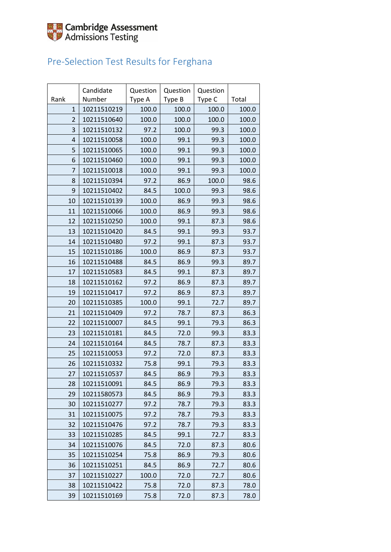

#### Pre-Selection Test Results for Ferghana

|                | Candidate   | Question | Question | Question |       |
|----------------|-------------|----------|----------|----------|-------|
| Rank           | Number      | Type A   | Type B   | Type C   | Total |
| $\mathbf{1}$   | 10211510219 | 100.0    | 100.0    | 100.0    | 100.0 |
| $\overline{2}$ | 10211510640 | 100.0    | 100.0    | 100.0    | 100.0 |
| 3              | 10211510132 | 97.2     | 100.0    | 99.3     | 100.0 |
| $\overline{4}$ | 10211510058 | 100.0    | 99.1     | 99.3     | 100.0 |
| 5              | 10211510065 | 100.0    | 99.1     | 99.3     | 100.0 |
| 6              | 10211510460 | 100.0    | 99.1     | 99.3     | 100.0 |
| 7              | 10211510018 | 100.0    | 99.1     | 99.3     | 100.0 |
| 8              | 10211510394 | 97.2     | 86.9     | 100.0    | 98.6  |
| 9              | 10211510402 | 84.5     | 100.0    | 99.3     | 98.6  |
| 10             | 10211510139 | 100.0    | 86.9     | 99.3     | 98.6  |
| 11             | 10211510066 | 100.0    | 86.9     | 99.3     | 98.6  |
| 12             | 10211510250 | 100.0    | 99.1     | 87.3     | 98.6  |
| 13             | 10211510420 | 84.5     | 99.1     | 99.3     | 93.7  |
| 14             | 10211510480 | 97.2     | 99.1     | 87.3     | 93.7  |
| 15             | 10211510186 | 100.0    | 86.9     | 87.3     | 93.7  |
| 16             | 10211510488 | 84.5     | 86.9     | 99.3     | 89.7  |
| 17             | 10211510583 | 84.5     | 99.1     | 87.3     | 89.7  |
| 18             | 10211510162 | 97.2     | 86.9     | 87.3     | 89.7  |
| 19             | 10211510417 | 97.2     | 86.9     | 87.3     | 89.7  |
| 20             | 10211510385 | 100.0    | 99.1     | 72.7     | 89.7  |
| 21             | 10211510409 | 97.2     | 78.7     | 87.3     | 86.3  |
| 22             | 10211510007 | 84.5     | 99.1     | 79.3     | 86.3  |
| 23             | 10211510181 | 84.5     | 72.0     | 99.3     | 83.3  |
| 24             | 10211510164 | 84.5     | 78.7     | 87.3     | 83.3  |
| 25             | 10211510053 | 97.2     | 72.0     | 87.3     | 83.3  |
| 26             | 10211510332 | 75.8     | 99.1     | 79.3     | 83.3  |
| 27             | 10211510537 | 84.5     | 86.9     | 79.3     | 83.3  |
| 28             | 10211510091 | 84.5     | 86.9     | 79.3     | 83.3  |
| 29             | 10211580573 | 84.5     | 86.9     | 79.3     | 83.3  |
| 30             | 10211510277 | 97.2     | 78.7     | 79.3     | 83.3  |
| 31             | 10211510075 | 97.2     | 78.7     | 79.3     | 83.3  |
| 32             | 10211510476 | 97.2     | 78.7     | 79.3     | 83.3  |
| 33             | 10211510285 | 84.5     | 99.1     | 72.7     | 83.3  |
| 34             | 10211510076 | 84.5     | 72.0     | 87.3     | 80.6  |
| 35             | 10211510254 | 75.8     | 86.9     | 79.3     | 80.6  |
| 36             | 10211510251 | 84.5     | 86.9     | 72.7     | 80.6  |
| 37             | 10211510227 | 100.0    | 72.0     | 72.7     | 80.6  |
| 38             | 10211510422 | 75.8     | 72.0     | 87.3     | 78.0  |
| 39             | 10211510169 | 75.8     | 72.0     | 87.3     | 78.0  |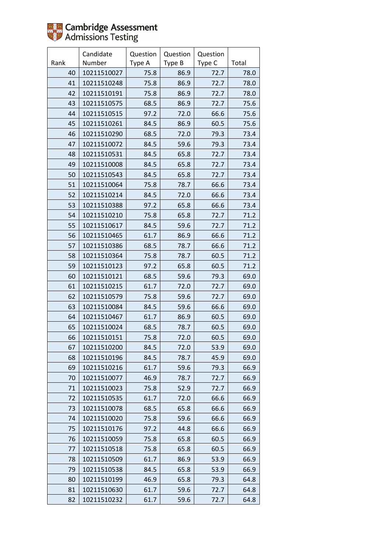

|      | Candidate   | Question | Question | Question |       |
|------|-------------|----------|----------|----------|-------|
| Rank | Number      | Type A   | Type B   | Type C   | Total |
| 40   | 10211510027 | 75.8     | 86.9     | 72.7     | 78.0  |
| 41   | 10211510248 | 75.8     | 86.9     | 72.7     | 78.0  |
| 42   | 10211510191 | 75.8     | 86.9     | 72.7     | 78.0  |
| 43   | 10211510575 | 68.5     | 86.9     | 72.7     | 75.6  |
| 44   | 10211510515 | 97.2     | 72.0     | 66.6     | 75.6  |
| 45   | 10211510261 | 84.5     | 86.9     | 60.5     | 75.6  |
| 46   | 10211510290 | 68.5     | 72.0     | 79.3     | 73.4  |
| 47   | 10211510072 | 84.5     | 59.6     | 79.3     | 73.4  |
| 48   | 10211510531 | 84.5     | 65.8     | 72.7     | 73.4  |
| 49   | 10211510008 | 84.5     | 65.8     | 72.7     | 73.4  |
| 50   | 10211510543 | 84.5     | 65.8     | 72.7     | 73.4  |
| 51   | 10211510064 | 75.8     | 78.7     | 66.6     | 73.4  |
| 52   | 10211510214 | 84.5     | 72.0     | 66.6     | 73.4  |
| 53   | 10211510388 | 97.2     | 65.8     | 66.6     | 73.4  |
| 54   | 10211510210 | 75.8     | 65.8     | 72.7     | 71.2  |
| 55   | 10211510617 | 84.5     | 59.6     | 72.7     | 71.2  |
| 56   | 10211510465 | 61.7     | 86.9     | 66.6     | 71.2  |
| 57   | 10211510386 | 68.5     | 78.7     | 66.6     | 71.2  |
| 58   | 10211510364 | 75.8     | 78.7     | 60.5     | 71.2  |
| 59   | 10211510123 | 97.2     | 65.8     | 60.5     | 71.2  |
| 60   | 10211510121 | 68.5     | 59.6     | 79.3     | 69.0  |
| 61   | 10211510215 | 61.7     | 72.0     | 72.7     | 69.0  |
| 62   | 10211510579 | 75.8     | 59.6     | 72.7     | 69.0  |
| 63   | 10211510084 | 84.5     | 59.6     | 66.6     | 69.0  |
| 64   | 10211510467 | 61.7     | 86.9     | 60.5     | 69.0  |
| 65   | 10211510024 | 68.5     | 78.7     | 60.5     | 69.0  |
| 66   | 10211510151 | 75.8     | 72.0     | 60.5     | 69.0  |
| 67   | 10211510200 | 84.5     | 72.0     | 53.9     | 69.0  |
| 68   | 10211510196 | 84.5     | 78.7     | 45.9     | 69.0  |
| 69   | 10211510216 | 61.7     | 59.6     | 79.3     | 66.9  |
| 70   | 10211510077 | 46.9     | 78.7     | 72.7     | 66.9  |
| 71   | 10211510023 | 75.8     | 52.9     | 72.7     | 66.9  |
| 72   | 10211510535 | 61.7     | 72.0     | 66.6     | 66.9  |
| 73   | 10211510078 | 68.5     | 65.8     | 66.6     | 66.9  |
| 74   | 10211510020 | 75.8     | 59.6     | 66.6     | 66.9  |
| 75   | 10211510176 | 97.2     | 44.8     | 66.6     | 66.9  |
| 76   | 10211510059 | 75.8     | 65.8     | 60.5     | 66.9  |
| 77   | 10211510518 | 75.8     | 65.8     | 60.5     | 66.9  |
| 78   | 10211510509 | 61.7     | 86.9     | 53.9     | 66.9  |
| 79   | 10211510538 | 84.5     | 65.8     | 53.9     | 66.9  |
| 80   | 10211510199 | 46.9     | 65.8     | 79.3     | 64.8  |
| 81   | 10211510630 | 61.7     | 59.6     | 72.7     | 64.8  |
| 82   | 10211510232 | 61.7     | 59.6     | 72.7     | 64.8  |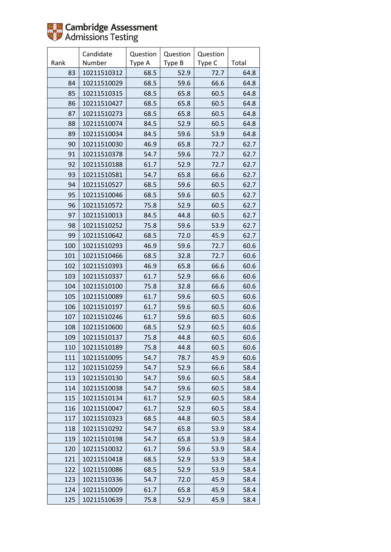

|      | Candidate   | Question | Question | Question |       |
|------|-------------|----------|----------|----------|-------|
| Rank | Number      | Type A   | Type B   | Type C   | Total |
| 83   | 10211510312 | 68.5     | 52.9     | 72.7     | 64.8  |
| 84   | 10211510029 | 68.5     | 59.6     | 66.6     | 64.8  |
| 85   | 10211510315 | 68.5     | 65.8     | 60.5     | 64.8  |
| 86   | 10211510427 | 68.5     | 65.8     | 60.5     | 64.8  |
| 87   | 10211510273 | 68.5     | 65.8     | 60.5     | 64.8  |
| 88   | 10211510074 | 84.5     | 52.9     | 60.5     | 64.8  |
| 89   | 10211510034 | 84.5     | 59.6     | 53.9     | 64.8  |
| 90   | 10211510030 | 46.9     | 65.8     | 72.7     | 62.7  |
| 91   | 10211510378 | 54.7     | 59.6     | 72.7     | 62.7  |
| 92   | 10211510188 | 61.7     | 52.9     | 72.7     | 62.7  |
| 93   | 10211510581 | 54.7     | 65.8     | 66.6     | 62.7  |
| 94   | 10211510527 | 68.5     | 59.6     | 60.5     | 62.7  |
| 95   | 10211510046 | 68.5     | 59.6     | 60.5     | 62.7  |
| 96   | 10211510572 | 75.8     | 52.9     | 60.5     | 62.7  |
| 97   | 10211510013 | 84.5     | 44.8     | 60.5     | 62.7  |
| 98   | 10211510252 | 75.8     | 59.6     | 53.9     | 62.7  |
| 99   | 10211510642 | 68.5     | 72.0     | 45.9     | 62.7  |
| 100  | 10211510293 | 46.9     | 59.6     | 72.7     | 60.6  |
| 101  | 10211510466 | 68.5     | 32.8     | 72.7     | 60.6  |
| 102  | 10211510393 | 46.9     | 65.8     | 66.6     | 60.6  |
| 103  | 10211510337 | 61.7     | 52.9     | 66.6     | 60.6  |
| 104  | 10211510100 | 75.8     | 32.8     | 66.6     | 60.6  |
| 105  | 10211510089 | 61.7     | 59.6     | 60.5     | 60.6  |
| 106  | 10211510197 | 61.7     | 59.6     | 60.5     | 60.6  |
| 107  | 10211510246 | 61.7     | 59.6     | 60.5     | 60.6  |
| 108  | 10211510600 | 68.5     | 52.9     | 60.5     | 60.6  |
| 109  | 10211510137 | 75.8     | 44.8     | 60.5     | 60.6  |
| 110  | 10211510189 | 75.8     | 44.8     | 60.5     | 60.6  |
| 111  | 10211510095 | 54.7     | 78.7     | 45.9     | 60.6  |
| 112  | 10211510259 | 54.7     | 52.9     | 66.6     | 58.4  |
| 113  | 10211510130 | 54.7     | 59.6     | 60.5     | 58.4  |
| 114  | 10211510038 | 54.7     | 59.6     | 60.5     | 58.4  |
| 115  | 10211510134 | 61.7     | 52.9     | 60.5     | 58.4  |
| 116  | 10211510047 | 61.7     | 52.9     | 60.5     | 58.4  |
| 117  | 10211510323 | 68.5     | 44.8     | 60.5     | 58.4  |
| 118  | 10211510292 | 54.7     | 65.8     | 53.9     | 58.4  |
| 119  | 10211510198 | 54.7     | 65.8     | 53.9     | 58.4  |
| 120  | 10211510032 | 61.7     | 59.6     | 53.9     | 58.4  |
| 121  | 10211510418 | 68.5     | 52.9     | 53.9     | 58.4  |
| 122  | 10211510086 | 68.5     | 52.9     | 53.9     | 58.4  |
| 123  | 10211510336 | 54.7     | 72.0     | 45.9     | 58.4  |
| 124  | 10211510009 | 61.7     | 65.8     | 45.9     | 58.4  |
| 125  | 10211510639 | 75.8     | 52.9     | 45.9     | 58.4  |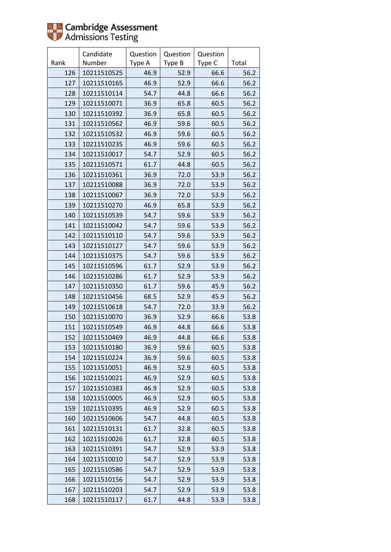

|      | Candidate   | Question | Question | Question |       |
|------|-------------|----------|----------|----------|-------|
| Rank | Number      | Type A   | Type B   | Type C   | Total |
| 126  | 10211510525 | 46.9     | 52.9     | 66.6     | 56.2  |
| 127  | 10211510165 | 46.9     | 52.9     | 66.6     | 56.2  |
| 128  | 10211510114 | 54.7     | 44.8     | 66.6     | 56.2  |
| 129  | 10211510071 | 36.9     | 65.8     | 60.5     | 56.2  |
| 130  | 10211510392 | 36.9     | 65.8     | 60.5     | 56.2  |
| 131  | 10211510562 | 46.9     | 59.6     | 60.5     | 56.2  |
| 132  | 10211510532 | 46.9     | 59.6     | 60.5     | 56.2  |
| 133  | 10211510235 | 46.9     | 59.6     | 60.5     | 56.2  |
| 134  | 10211510017 | 54.7     | 52.9     | 60.5     | 56.2  |
| 135  | 10211510571 | 61.7     | 44.8     | 60.5     | 56.2  |
| 136  | 10211510361 | 36.9     | 72.0     | 53.9     | 56.2  |
| 137  | 10211510088 | 36.9     | 72.0     | 53.9     | 56.2  |
| 138  | 10211510067 | 36.9     | 72.0     | 53.9     | 56.2  |
| 139  | 10211510270 | 46.9     | 65.8     | 53.9     | 56.2  |
| 140  | 10211510539 | 54.7     | 59.6     | 53.9     | 56.2  |
| 141  | 10211510042 | 54.7     | 59.6     | 53.9     | 56.2  |
| 142  | 10211510110 | 54.7     | 59.6     | 53.9     | 56.2  |
| 143  | 10211510127 | 54.7     | 59.6     | 53.9     | 56.2  |
| 144  | 10211510375 | 54.7     | 59.6     | 53.9     | 56.2  |
| 145  | 10211510596 | 61.7     | 52.9     | 53.9     | 56.2  |
| 146  | 10211510286 | 61.7     | 52.9     | 53.9     | 56.2  |
| 147  | 10211510350 | 61.7     | 59.6     | 45.9     | 56.2  |
| 148  | 10211510456 | 68.5     | 52.9     | 45.9     | 56.2  |
| 149  | 10211510618 | 54.7     | 72.0     | 33.9     | 56.2  |
| 150  | 10211510070 | 36.9     | 52.9     | 66.6     | 53.8  |
| 151  | 10211510549 | 46.9     | 44.8     | 66.6     | 53.8  |
| 152  | 10211510469 | 46.9     | 44.8     | 66.6     | 53.8  |
| 153  | 10211510180 | 36.9     | 59.6     | 60.5     | 53.8  |
| 154  | 10211510224 | 36.9     | 59.6     | 60.5     | 53.8  |
| 155  | 10211510051 | 46.9     | 52.9     | 60.5     | 53.8  |
| 156  | 10211510021 | 46.9     | 52.9     | 60.5     | 53.8  |
| 157  | 10211510383 | 46.9     | 52.9     | 60.5     | 53.8  |
| 158  | 10211510005 | 46.9     | 52.9     | 60.5     | 53.8  |
| 159  | 10211510395 | 46.9     | 52.9     | 60.5     | 53.8  |
| 160  | 10211510606 | 54.7     | 44.8     | 60.5     | 53.8  |
| 161  | 10211510131 | 61.7     | 32.8     | 60.5     | 53.8  |
| 162  | 10211510026 | 61.7     | 32.8     | 60.5     | 53.8  |
| 163  | 10211510391 | 54.7     | 52.9     | 53.9     | 53.8  |
| 164  | 10211510010 | 54.7     | 52.9     | 53.9     | 53.8  |
| 165  | 10211510586 | 54.7     | 52.9     | 53.9     | 53.8  |
| 166  | 10211510156 | 54.7     | 52.9     | 53.9     | 53.8  |
| 167  | 10211510203 | 54.7     | 52.9     | 53.9     | 53.8  |
| 168  | 10211510117 | 61.7     | 44.8     | 53.9     | 53.8  |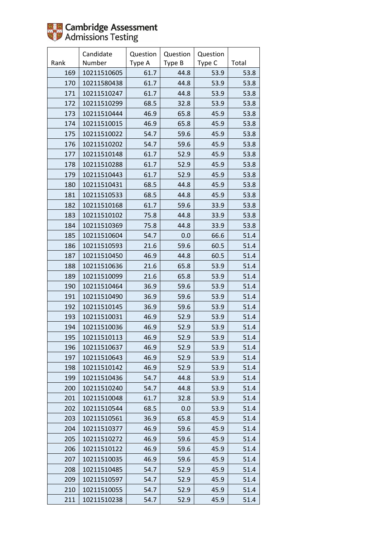

|      | Candidate   | Question | Question | Question |       |
|------|-------------|----------|----------|----------|-------|
| Rank | Number      | Type A   | Type B   | Type C   | Total |
| 169  | 10211510605 | 61.7     | 44.8     | 53.9     | 53.8  |
| 170  | 10211580438 | 61.7     | 44.8     | 53.9     | 53.8  |
| 171  | 10211510247 | 61.7     | 44.8     | 53.9     | 53.8  |
| 172  | 10211510299 | 68.5     | 32.8     | 53.9     | 53.8  |
| 173  | 10211510444 | 46.9     | 65.8     | 45.9     | 53.8  |
| 174  | 10211510015 | 46.9     | 65.8     | 45.9     | 53.8  |
| 175  | 10211510022 | 54.7     | 59.6     | 45.9     | 53.8  |
| 176  | 10211510202 | 54.7     | 59.6     | 45.9     | 53.8  |
| 177  | 10211510148 | 61.7     | 52.9     | 45.9     | 53.8  |
| 178  | 10211510288 | 61.7     | 52.9     | 45.9     | 53.8  |
| 179  | 10211510443 | 61.7     | 52.9     | 45.9     | 53.8  |
| 180  | 10211510431 | 68.5     | 44.8     | 45.9     | 53.8  |
| 181  | 10211510533 | 68.5     | 44.8     | 45.9     | 53.8  |
| 182  | 10211510168 | 61.7     | 59.6     | 33.9     | 53.8  |
| 183  | 10211510102 | 75.8     | 44.8     | 33.9     | 53.8  |
| 184  | 10211510369 | 75.8     | 44.8     | 33.9     | 53.8  |
| 185  | 10211510604 | 54.7     | 0.0      | 66.6     | 51.4  |
| 186  | 10211510593 | 21.6     | 59.6     | 60.5     | 51.4  |
| 187  | 10211510450 | 46.9     | 44.8     | 60.5     | 51.4  |
| 188  | 10211510636 | 21.6     | 65.8     | 53.9     | 51.4  |
| 189  | 10211510099 | 21.6     | 65.8     | 53.9     | 51.4  |
| 190  | 10211510464 | 36.9     | 59.6     | 53.9     | 51.4  |
| 191  | 10211510490 | 36.9     | 59.6     | 53.9     | 51.4  |
| 192  | 10211510145 | 36.9     | 59.6     | 53.9     | 51.4  |
| 193  | 10211510031 | 46.9     | 52.9     | 53.9     | 51.4  |
| 194  | 10211510036 | 46.9     | 52.9     | 53.9     | 51.4  |
| 195  | 10211510113 | 46.9     | 52.9     | 53.9     | 51.4  |
| 196  | 10211510637 | 46.9     | 52.9     | 53.9     | 51.4  |
| 197  | 10211510643 | 46.9     | 52.9     | 53.9     | 51.4  |
| 198  | 10211510142 | 46.9     | 52.9     | 53.9     | 51.4  |
| 199  | 10211510436 | 54.7     | 44.8     | 53.9     | 51.4  |
| 200  | 10211510240 | 54.7     | 44.8     | 53.9     | 51.4  |
| 201  | 10211510048 | 61.7     | 32.8     | 53.9     | 51.4  |
| 202  | 10211510544 | 68.5     | 0.0      | 53.9     | 51.4  |
| 203  | 10211510561 | 36.9     | 65.8     | 45.9     | 51.4  |
| 204  | 10211510377 | 46.9     | 59.6     | 45.9     | 51.4  |
| 205  | 10211510272 | 46.9     | 59.6     | 45.9     | 51.4  |
| 206  | 10211510122 | 46.9     | 59.6     | 45.9     | 51.4  |
| 207  | 10211510035 | 46.9     | 59.6     | 45.9     | 51.4  |
| 208  | 10211510485 | 54.7     | 52.9     | 45.9     | 51.4  |
| 209  | 10211510597 | 54.7     | 52.9     | 45.9     | 51.4  |
| 210  | 10211510055 | 54.7     | 52.9     | 45.9     | 51.4  |
| 211  | 10211510238 | 54.7     | 52.9     | 45.9     | 51.4  |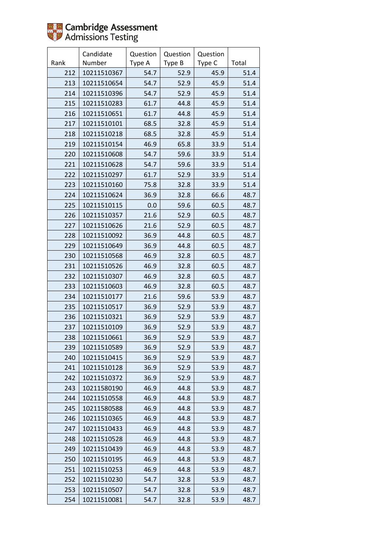

|      | Candidate   | Question | Question | Question |       |
|------|-------------|----------|----------|----------|-------|
| Rank | Number      | Type A   | Type B   | Type C   | Total |
| 212  | 10211510367 | 54.7     | 52.9     | 45.9     | 51.4  |
| 213  | 10211510654 | 54.7     | 52.9     | 45.9     | 51.4  |
| 214  | 10211510396 | 54.7     | 52.9     | 45.9     | 51.4  |
| 215  | 10211510283 | 61.7     | 44.8     | 45.9     | 51.4  |
| 216  | 10211510651 | 61.7     | 44.8     | 45.9     | 51.4  |
| 217  | 10211510101 | 68.5     | 32.8     | 45.9     | 51.4  |
| 218  | 10211510218 | 68.5     | 32.8     | 45.9     | 51.4  |
| 219  | 10211510154 | 46.9     | 65.8     | 33.9     | 51.4  |
| 220  | 10211510608 | 54.7     | 59.6     | 33.9     | 51.4  |
| 221  | 10211510628 | 54.7     | 59.6     | 33.9     | 51.4  |
| 222  | 10211510297 | 61.7     | 52.9     | 33.9     | 51.4  |
| 223  | 10211510160 | 75.8     | 32.8     | 33.9     | 51.4  |
| 224  | 10211510624 | 36.9     | 32.8     | 66.6     | 48.7  |
| 225  | 10211510115 | 0.0      | 59.6     | 60.5     | 48.7  |
| 226  | 10211510357 | 21.6     | 52.9     | 60.5     | 48.7  |
| 227  | 10211510626 | 21.6     | 52.9     | 60.5     | 48.7  |
| 228  | 10211510092 | 36.9     | 44.8     | 60.5     | 48.7  |
| 229  | 10211510649 | 36.9     | 44.8     | 60.5     | 48.7  |
| 230  | 10211510568 | 46.9     | 32.8     | 60.5     | 48.7  |
| 231  | 10211510526 | 46.9     | 32.8     | 60.5     | 48.7  |
| 232  | 10211510307 | 46.9     | 32.8     | 60.5     | 48.7  |
| 233  | 10211510603 | 46.9     | 32.8     | 60.5     | 48.7  |
| 234  | 10211510177 | 21.6     | 59.6     | 53.9     | 48.7  |
| 235  | 10211510517 | 36.9     | 52.9     | 53.9     | 48.7  |
| 236  | 10211510321 | 36.9     | 52.9     | 53.9     | 48.7  |
| 237  | 10211510109 | 36.9     | 52.9     | 53.9     | 48.7  |
| 238  | 10211510661 | 36.9     | 52.9     | 53.9     | 48.7  |
| 239  | 10211510589 | 36.9     | 52.9     | 53.9     | 48.7  |
| 240  | 10211510415 | 36.9     | 52.9     | 53.9     | 48.7  |
| 241  | 10211510128 | 36.9     | 52.9     | 53.9     | 48.7  |
| 242  | 10211510372 | 36.9     | 52.9     | 53.9     | 48.7  |
| 243  | 10211580190 | 46.9     | 44.8     | 53.9     | 48.7  |
| 244  | 10211510558 | 46.9     | 44.8     | 53.9     | 48.7  |
| 245  | 10211580588 | 46.9     | 44.8     | 53.9     | 48.7  |
| 246  | 10211510365 | 46.9     | 44.8     | 53.9     | 48.7  |
| 247  | 10211510433 | 46.9     | 44.8     | 53.9     | 48.7  |
| 248  | 10211510528 | 46.9     | 44.8     | 53.9     | 48.7  |
| 249  | 10211510439 | 46.9     | 44.8     | 53.9     | 48.7  |
| 250  | 10211510195 | 46.9     | 44.8     | 53.9     | 48.7  |
| 251  | 10211510253 | 46.9     | 44.8     | 53.9     | 48.7  |
| 252  | 10211510230 | 54.7     | 32.8     | 53.9     | 48.7  |
| 253  | 10211510507 | 54.7     | 32.8     | 53.9     | 48.7  |
| 254  | 10211510081 | 54.7     | 32.8     | 53.9     | 48.7  |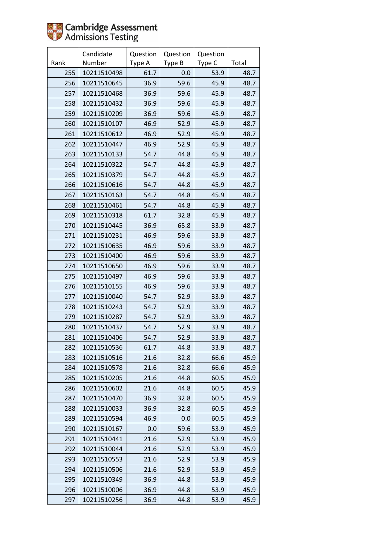

|      | Candidate   | Question | Question | Question |       |
|------|-------------|----------|----------|----------|-------|
| Rank | Number      | Type A   | Type B   | Type C   | Total |
| 255  | 10211510498 | 61.7     | 0.0      | 53.9     | 48.7  |
| 256  | 10211510645 | 36.9     | 59.6     | 45.9     | 48.7  |
| 257  | 10211510468 | 36.9     | 59.6     | 45.9     | 48.7  |
| 258  | 10211510432 | 36.9     | 59.6     | 45.9     | 48.7  |
| 259  | 10211510209 | 36.9     | 59.6     | 45.9     | 48.7  |
| 260  | 10211510107 | 46.9     | 52.9     | 45.9     | 48.7  |
| 261  | 10211510612 | 46.9     | 52.9     | 45.9     | 48.7  |
| 262  | 10211510447 | 46.9     | 52.9     | 45.9     | 48.7  |
| 263  | 10211510133 | 54.7     | 44.8     | 45.9     | 48.7  |
| 264  | 10211510322 | 54.7     | 44.8     | 45.9     | 48.7  |
| 265  | 10211510379 | 54.7     | 44.8     | 45.9     | 48.7  |
| 266  | 10211510616 | 54.7     | 44.8     | 45.9     | 48.7  |
| 267  | 10211510163 | 54.7     | 44.8     | 45.9     | 48.7  |
| 268  | 10211510461 | 54.7     | 44.8     | 45.9     | 48.7  |
| 269  | 10211510318 | 61.7     | 32.8     | 45.9     | 48.7  |
| 270  | 10211510445 | 36.9     | 65.8     | 33.9     | 48.7  |
| 271  | 10211510231 | 46.9     | 59.6     | 33.9     | 48.7  |
| 272  | 10211510635 | 46.9     | 59.6     | 33.9     | 48.7  |
| 273  | 10211510400 | 46.9     | 59.6     | 33.9     | 48.7  |
| 274  | 10211510650 | 46.9     | 59.6     | 33.9     | 48.7  |
| 275  | 10211510497 | 46.9     | 59.6     | 33.9     | 48.7  |
| 276  | 10211510155 | 46.9     | 59.6     | 33.9     | 48.7  |
| 277  | 10211510040 | 54.7     | 52.9     | 33.9     | 48.7  |
| 278  | 10211510243 | 54.7     | 52.9     | 33.9     | 48.7  |
| 279  | 10211510287 | 54.7     | 52.9     | 33.9     | 48.7  |
| 280  | 10211510437 | 54.7     | 52.9     | 33.9     | 48.7  |
| 281  | 10211510406 | 54.7     | 52.9     | 33.9     | 48.7  |
| 282  | 10211510536 | 61.7     | 44.8     | 33.9     | 48.7  |
| 283  | 10211510516 | 21.6     | 32.8     | 66.6     | 45.9  |
| 284  | 10211510578 | 21.6     | 32.8     | 66.6     | 45.9  |
| 285  | 10211510205 | 21.6     | 44.8     | 60.5     | 45.9  |
| 286  | 10211510602 | 21.6     | 44.8     | 60.5     | 45.9  |
| 287  | 10211510470 | 36.9     | 32.8     | 60.5     | 45.9  |
| 288  | 10211510033 | 36.9     | 32.8     | 60.5     | 45.9  |
| 289  | 10211510594 | 46.9     | 0.0      | 60.5     | 45.9  |
| 290  | 10211510167 | 0.0      | 59.6     | 53.9     | 45.9  |
| 291  | 10211510441 | 21.6     | 52.9     | 53.9     | 45.9  |
| 292  | 10211510044 | 21.6     | 52.9     | 53.9     | 45.9  |
| 293  | 10211510553 | 21.6     | 52.9     | 53.9     | 45.9  |
| 294  | 10211510506 | 21.6     | 52.9     | 53.9     | 45.9  |
| 295  | 10211510349 | 36.9     | 44.8     | 53.9     | 45.9  |
| 296  | 10211510006 | 36.9     | 44.8     | 53.9     | 45.9  |
| 297  | 10211510256 | 36.9     | 44.8     | 53.9     | 45.9  |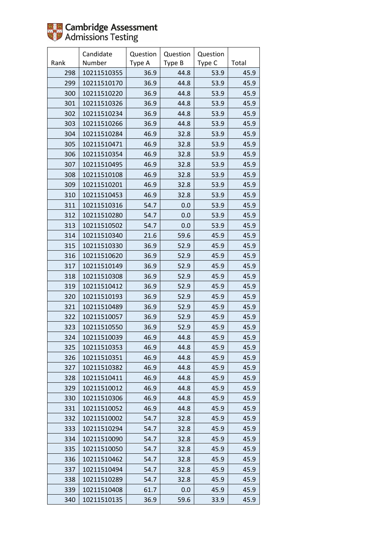

|      | Candidate   | Question | Question | Question |       |
|------|-------------|----------|----------|----------|-------|
| Rank | Number      | Type A   | Type B   | Type C   | Total |
| 298  | 10211510355 | 36.9     | 44.8     | 53.9     | 45.9  |
| 299  | 10211510170 | 36.9     | 44.8     | 53.9     | 45.9  |
| 300  | 10211510220 | 36.9     | 44.8     | 53.9     | 45.9  |
| 301  | 10211510326 | 36.9     | 44.8     | 53.9     | 45.9  |
| 302  | 10211510234 | 36.9     | 44.8     | 53.9     | 45.9  |
| 303  | 10211510266 | 36.9     | 44.8     | 53.9     | 45.9  |
| 304  | 10211510284 | 46.9     | 32.8     | 53.9     | 45.9  |
| 305  | 10211510471 | 46.9     | 32.8     | 53.9     | 45.9  |
| 306  | 10211510354 | 46.9     | 32.8     | 53.9     | 45.9  |
| 307  | 10211510495 | 46.9     | 32.8     | 53.9     | 45.9  |
| 308  | 10211510108 | 46.9     | 32.8     | 53.9     | 45.9  |
| 309  | 10211510201 | 46.9     | 32.8     | 53.9     | 45.9  |
| 310  | 10211510453 | 46.9     | 32.8     | 53.9     | 45.9  |
| 311  | 10211510316 | 54.7     | 0.0      | 53.9     | 45.9  |
| 312  | 10211510280 | 54.7     | 0.0      | 53.9     | 45.9  |
| 313  | 10211510502 | 54.7     | 0.0      | 53.9     | 45.9  |
| 314  | 10211510340 | 21.6     | 59.6     | 45.9     | 45.9  |
| 315  | 10211510330 | 36.9     | 52.9     | 45.9     | 45.9  |
| 316  | 10211510620 | 36.9     | 52.9     | 45.9     | 45.9  |
| 317  | 10211510149 | 36.9     | 52.9     | 45.9     | 45.9  |
| 318  | 10211510308 | 36.9     | 52.9     | 45.9     | 45.9  |
| 319  | 10211510412 | 36.9     | 52.9     | 45.9     | 45.9  |
| 320  | 10211510193 | 36.9     | 52.9     | 45.9     | 45.9  |
| 321  | 10211510489 | 36.9     | 52.9     | 45.9     | 45.9  |
| 322  | 10211510057 | 36.9     | 52.9     | 45.9     | 45.9  |
| 323  | 10211510550 | 36.9     | 52.9     | 45.9     | 45.9  |
| 324  | 10211510039 | 46.9     | 44.8     | 45.9     | 45.9  |
| 325  | 10211510353 | 46.9     | 44.8     | 45.9     | 45.9  |
| 326  | 10211510351 | 46.9     | 44.8     | 45.9     | 45.9  |
| 327  | 10211510382 | 46.9     | 44.8     | 45.9     | 45.9  |
| 328  | 10211510411 | 46.9     | 44.8     | 45.9     | 45.9  |
| 329  | 10211510012 | 46.9     | 44.8     | 45.9     | 45.9  |
| 330  | 10211510306 | 46.9     | 44.8     | 45.9     | 45.9  |
| 331  | 10211510052 | 46.9     | 44.8     | 45.9     | 45.9  |
| 332  | 10211510002 | 54.7     | 32.8     | 45.9     | 45.9  |
| 333  | 10211510294 | 54.7     | 32.8     | 45.9     | 45.9  |
| 334  | 10211510090 | 54.7     | 32.8     | 45.9     | 45.9  |
| 335  | 10211510050 | 54.7     | 32.8     | 45.9     | 45.9  |
| 336  | 10211510462 | 54.7     | 32.8     | 45.9     | 45.9  |
| 337  | 10211510494 | 54.7     | 32.8     | 45.9     | 45.9  |
| 338  | 10211510289 | 54.7     | 32.8     | 45.9     | 45.9  |
| 339  | 10211510408 | 61.7     | 0.0      | 45.9     | 45.9  |
| 340  | 10211510135 | 36.9     | 59.6     | 33.9     | 45.9  |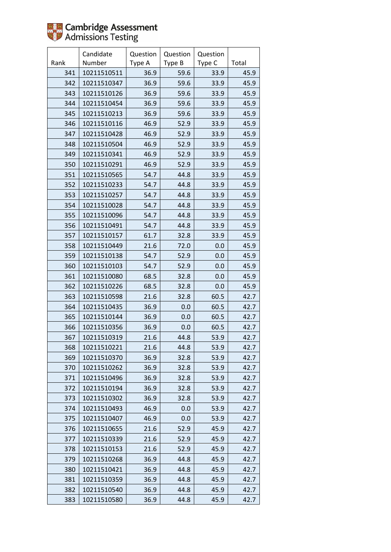

|      | Candidate   | Question | Question | Question |       |
|------|-------------|----------|----------|----------|-------|
| Rank | Number      | Type A   | Type B   | Type C   | Total |
| 341  | 10211510511 | 36.9     | 59.6     | 33.9     | 45.9  |
| 342  | 10211510347 | 36.9     | 59.6     | 33.9     | 45.9  |
| 343  | 10211510126 | 36.9     | 59.6     | 33.9     | 45.9  |
| 344  | 10211510454 | 36.9     | 59.6     | 33.9     | 45.9  |
| 345  | 10211510213 | 36.9     | 59.6     | 33.9     | 45.9  |
| 346  | 10211510116 | 46.9     | 52.9     | 33.9     | 45.9  |
| 347  | 10211510428 | 46.9     | 52.9     | 33.9     | 45.9  |
| 348  | 10211510504 | 46.9     | 52.9     | 33.9     | 45.9  |
| 349  | 10211510341 | 46.9     | 52.9     | 33.9     | 45.9  |
| 350  | 10211510291 | 46.9     | 52.9     | 33.9     | 45.9  |
| 351  | 10211510565 | 54.7     | 44.8     | 33.9     | 45.9  |
| 352  | 10211510233 | 54.7     | 44.8     | 33.9     | 45.9  |
| 353  | 10211510257 | 54.7     | 44.8     | 33.9     | 45.9  |
| 354  | 10211510028 | 54.7     | 44.8     | 33.9     | 45.9  |
| 355  | 10211510096 | 54.7     | 44.8     | 33.9     | 45.9  |
| 356  | 10211510491 | 54.7     | 44.8     | 33.9     | 45.9  |
| 357  | 10211510157 | 61.7     | 32.8     | 33.9     | 45.9  |
| 358  | 10211510449 | 21.6     | 72.0     | 0.0      | 45.9  |
| 359  | 10211510138 | 54.7     | 52.9     | 0.0      | 45.9  |
| 360  | 10211510103 | 54.7     | 52.9     | 0.0      | 45.9  |
| 361  | 10211510080 | 68.5     | 32.8     | 0.0      | 45.9  |
| 362  | 10211510226 | 68.5     | 32.8     | 0.0      | 45.9  |
| 363  | 10211510598 | 21.6     | 32.8     | 60.5     | 42.7  |
| 364  | 10211510435 | 36.9     | 0.0      | 60.5     | 42.7  |
| 365  | 10211510144 | 36.9     | 0.0      | 60.5     | 42.7  |
| 366  | 10211510356 | 36.9     | 0.0      | 60.5     | 42.7  |
| 367  | 10211510319 | 21.6     | 44.8     | 53.9     | 42.7  |
| 368  | 10211510221 | 21.6     | 44.8     | 53.9     | 42.7  |
| 369  | 10211510370 | 36.9     | 32.8     | 53.9     | 42.7  |
| 370  | 10211510262 | 36.9     | 32.8     | 53.9     | 42.7  |
| 371  | 10211510496 | 36.9     | 32.8     | 53.9     | 42.7  |
| 372  | 10211510194 | 36.9     | 32.8     | 53.9     | 42.7  |
| 373  | 10211510302 | 36.9     | 32.8     | 53.9     | 42.7  |
| 374  | 10211510493 | 46.9     | 0.0      | 53.9     | 42.7  |
| 375  | 10211510407 | 46.9     | 0.0      | 53.9     | 42.7  |
| 376  | 10211510655 | 21.6     | 52.9     | 45.9     | 42.7  |
| 377  | 10211510339 | 21.6     | 52.9     | 45.9     | 42.7  |
| 378  | 10211510153 | 21.6     | 52.9     | 45.9     | 42.7  |
| 379  | 10211510268 | 36.9     | 44.8     | 45.9     | 42.7  |
| 380  | 10211510421 | 36.9     | 44.8     | 45.9     | 42.7  |
| 381  | 10211510359 | 36.9     | 44.8     | 45.9     | 42.7  |
| 382  | 10211510540 | 36.9     | 44.8     | 45.9     | 42.7  |
| 383  | 10211510580 | 36.9     | 44.8     | 45.9     | 42.7  |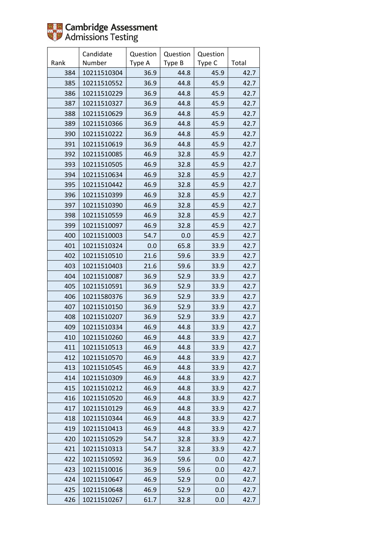

|      | Candidate   | Question | Question | Question |       |
|------|-------------|----------|----------|----------|-------|
| Rank | Number      | Type A   | Type B   | Type C   | Total |
| 384  | 10211510304 | 36.9     | 44.8     | 45.9     | 42.7  |
| 385  | 10211510552 | 36.9     | 44.8     | 45.9     | 42.7  |
| 386  | 10211510229 | 36.9     | 44.8     | 45.9     | 42.7  |
| 387  | 10211510327 | 36.9     | 44.8     | 45.9     | 42.7  |
| 388  | 10211510629 | 36.9     | 44.8     | 45.9     | 42.7  |
| 389  | 10211510366 | 36.9     | 44.8     | 45.9     | 42.7  |
| 390  | 10211510222 | 36.9     | 44.8     | 45.9     | 42.7  |
| 391  | 10211510619 | 36.9     | 44.8     | 45.9     | 42.7  |
| 392  | 10211510085 | 46.9     | 32.8     | 45.9     | 42.7  |
| 393  | 10211510505 | 46.9     | 32.8     | 45.9     | 42.7  |
| 394  | 10211510634 | 46.9     | 32.8     | 45.9     | 42.7  |
| 395  | 10211510442 | 46.9     | 32.8     | 45.9     | 42.7  |
| 396  | 10211510399 | 46.9     | 32.8     | 45.9     | 42.7  |
| 397  | 10211510390 | 46.9     | 32.8     | 45.9     | 42.7  |
| 398  | 10211510559 | 46.9     | 32.8     | 45.9     | 42.7  |
| 399  | 10211510097 | 46.9     | 32.8     | 45.9     | 42.7  |
| 400  | 10211510003 | 54.7     | 0.0      | 45.9     | 42.7  |
| 401  | 10211510324 | 0.0      | 65.8     | 33.9     | 42.7  |
| 402  | 10211510510 | 21.6     | 59.6     | 33.9     | 42.7  |
| 403  | 10211510403 | 21.6     | 59.6     | 33.9     | 42.7  |
| 404  | 10211510087 | 36.9     | 52.9     | 33.9     | 42.7  |
| 405  | 10211510591 | 36.9     | 52.9     | 33.9     | 42.7  |
| 406  | 10211580376 | 36.9     | 52.9     | 33.9     | 42.7  |
| 407  | 10211510150 | 36.9     | 52.9     | 33.9     | 42.7  |
| 408  | 10211510207 | 36.9     | 52.9     | 33.9     | 42.7  |
| 409  | 10211510334 | 46.9     | 44.8     | 33.9     | 42.7  |
| 410  | 10211510260 | 46.9     | 44.8     | 33.9     | 42.7  |
| 411  | 10211510513 | 46.9     | 44.8     | 33.9     | 42.7  |
| 412  | 10211510570 | 46.9     | 44.8     | 33.9     | 42.7  |
| 413  | 10211510545 | 46.9     | 44.8     | 33.9     | 42.7  |
| 414  | 10211510309 | 46.9     | 44.8     | 33.9     | 42.7  |
| 415  | 10211510212 | 46.9     | 44.8     | 33.9     | 42.7  |
| 416  | 10211510520 | 46.9     | 44.8     | 33.9     | 42.7  |
| 417  | 10211510129 | 46.9     | 44.8     | 33.9     | 42.7  |
| 418  | 10211510344 | 46.9     | 44.8     | 33.9     | 42.7  |
| 419  | 10211510413 | 46.9     | 44.8     | 33.9     | 42.7  |
| 420  | 10211510529 | 54.7     | 32.8     | 33.9     | 42.7  |
| 421  | 10211510313 | 54.7     | 32.8     | 33.9     | 42.7  |
| 422  | 10211510592 | 36.9     | 59.6     | 0.0      | 42.7  |
| 423  | 10211510016 | 36.9     | 59.6     | 0.0      | 42.7  |
| 424  | 10211510647 | 46.9     | 52.9     | 0.0      | 42.7  |
| 425  | 10211510648 | 46.9     | 52.9     | 0.0      | 42.7  |
| 426  | 10211510267 | 61.7     | 32.8     | 0.0      | 42.7  |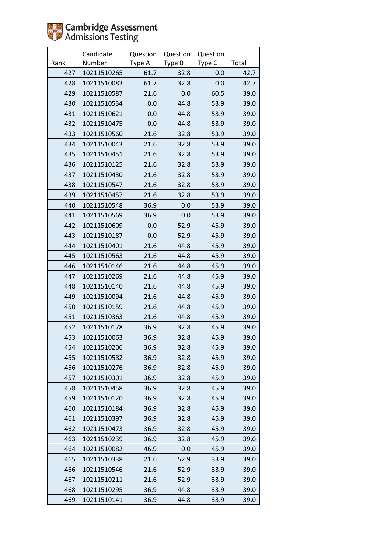

|      | Candidate   | Question | Question | Question |       |
|------|-------------|----------|----------|----------|-------|
| Rank | Number      | Type A   | Type B   | Type C   | Total |
| 427  | 10211510265 | 61.7     | 32.8     | 0.0      | 42.7  |
| 428  | 10211510083 | 61.7     | 32.8     | 0.0      | 42.7  |
| 429  | 10211510587 | 21.6     | 0.0      | 60.5     | 39.0  |
| 430  | 10211510534 | 0.0      | 44.8     | 53.9     | 39.0  |
| 431  | 10211510621 | 0.0      | 44.8     | 53.9     | 39.0  |
| 432  | 10211510475 | 0.0      | 44.8     | 53.9     | 39.0  |
| 433  | 10211510560 | 21.6     | 32.8     | 53.9     | 39.0  |
| 434  | 10211510043 | 21.6     | 32.8     | 53.9     | 39.0  |
| 435  | 10211510451 | 21.6     | 32.8     | 53.9     | 39.0  |
| 436  | 10211510125 | 21.6     | 32.8     | 53.9     | 39.0  |
| 437  | 10211510430 | 21.6     | 32.8     | 53.9     | 39.0  |
| 438  | 10211510547 | 21.6     | 32.8     | 53.9     | 39.0  |
| 439  | 10211510457 | 21.6     | 32.8     | 53.9     | 39.0  |
| 440  | 10211510548 | 36.9     | 0.0      | 53.9     | 39.0  |
| 441  | 10211510569 | 36.9     | 0.0      | 53.9     | 39.0  |
| 442  | 10211510609 | 0.0      | 52.9     | 45.9     | 39.0  |
| 443  | 10211510187 | 0.0      | 52.9     | 45.9     | 39.0  |
| 444  | 10211510401 | 21.6     | 44.8     | 45.9     | 39.0  |
| 445  | 10211510563 | 21.6     | 44.8     | 45.9     | 39.0  |
| 446  | 10211510146 | 21.6     | 44.8     | 45.9     | 39.0  |
| 447  | 10211510269 | 21.6     | 44.8     | 45.9     | 39.0  |
| 448  | 10211510140 | 21.6     | 44.8     | 45.9     | 39.0  |
| 449  | 10211510094 | 21.6     | 44.8     | 45.9     | 39.0  |
| 450  | 10211510159 | 21.6     | 44.8     | 45.9     | 39.0  |
| 451  | 10211510363 | 21.6     | 44.8     | 45.9     | 39.0  |
| 452  | 10211510178 | 36.9     | 32.8     | 45.9     | 39.0  |
| 453  | 10211510063 | 36.9     | 32.8     | 45.9     | 39.0  |
| 454  | 10211510206 | 36.9     | 32.8     | 45.9     | 39.0  |
| 455  | 10211510582 | 36.9     | 32.8     | 45.9     | 39.0  |
| 456  | 10211510276 | 36.9     | 32.8     | 45.9     | 39.0  |
| 457  | 10211510301 | 36.9     | 32.8     | 45.9     | 39.0  |
| 458  | 10211510458 | 36.9     | 32.8     | 45.9     | 39.0  |
| 459  | 10211510120 | 36.9     | 32.8     | 45.9     | 39.0  |
| 460  | 10211510184 | 36.9     | 32.8     | 45.9     | 39.0  |
| 461  | 10211510397 | 36.9     | 32.8     | 45.9     | 39.0  |
| 462  | 10211510473 | 36.9     | 32.8     | 45.9     | 39.0  |
| 463  | 10211510239 | 36.9     | 32.8     | 45.9     | 39.0  |
| 464  | 10211510082 | 46.9     | 0.0      | 45.9     | 39.0  |
| 465  | 10211510338 | 21.6     | 52.9     | 33.9     | 39.0  |
| 466  | 10211510546 | 21.6     | 52.9     | 33.9     | 39.0  |
| 467  | 10211510211 | 21.6     | 52.9     | 33.9     | 39.0  |
| 468  | 10211510295 | 36.9     | 44.8     | 33.9     | 39.0  |
| 469  | 10211510141 | 36.9     | 44.8     | 33.9     | 39.0  |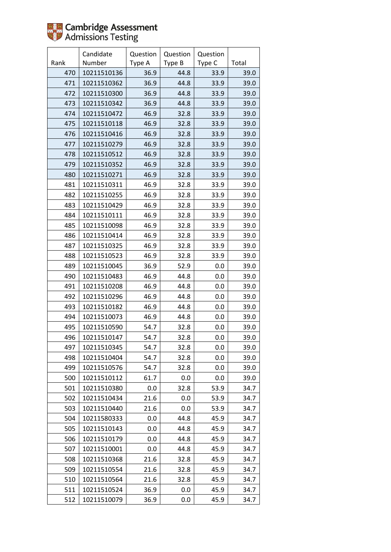

|      | Candidate   | Question | Question | Question |       |
|------|-------------|----------|----------|----------|-------|
| Rank | Number      | Type A   | Type B   | Type C   | Total |
| 470  | 10211510136 | 36.9     | 44.8     | 33.9     | 39.0  |
| 471  | 10211510362 | 36.9     | 44.8     | 33.9     | 39.0  |
| 472  | 10211510300 | 36.9     | 44.8     | 33.9     | 39.0  |
| 473  | 10211510342 | 36.9     | 44.8     | 33.9     | 39.0  |
| 474  | 10211510472 | 46.9     | 32.8     | 33.9     | 39.0  |
| 475  | 10211510118 | 46.9     | 32.8     | 33.9     | 39.0  |
| 476  | 10211510416 | 46.9     | 32.8     | 33.9     | 39.0  |
| 477  | 10211510279 | 46.9     | 32.8     | 33.9     | 39.0  |
| 478  | 10211510512 | 46.9     | 32.8     | 33.9     | 39.0  |
| 479  | 10211510352 | 46.9     | 32.8     | 33.9     | 39.0  |
| 480  | 10211510271 | 46.9     | 32.8     | 33.9     | 39.0  |
| 481  | 10211510311 | 46.9     | 32.8     | 33.9     | 39.0  |
| 482  | 10211510255 | 46.9     | 32.8     | 33.9     | 39.0  |
| 483  | 10211510429 | 46.9     | 32.8     | 33.9     | 39.0  |
| 484  | 10211510111 | 46.9     | 32.8     | 33.9     | 39.0  |
| 485  | 10211510098 | 46.9     | 32.8     | 33.9     | 39.0  |
| 486  | 10211510414 | 46.9     | 32.8     | 33.9     | 39.0  |
| 487  | 10211510325 | 46.9     | 32.8     | 33.9     | 39.0  |
| 488  | 10211510523 | 46.9     | 32.8     | 33.9     | 39.0  |
| 489  | 10211510045 | 36.9     | 52.9     | 0.0      | 39.0  |
| 490  | 10211510483 | 46.9     | 44.8     | 0.0      | 39.0  |
| 491  | 10211510208 | 46.9     | 44.8     | 0.0      | 39.0  |
| 492  | 10211510296 | 46.9     | 44.8     | 0.0      | 39.0  |
| 493  | 10211510182 | 46.9     | 44.8     | 0.0      | 39.0  |
| 494  | 10211510073 | 46.9     | 44.8     | 0.0      | 39.0  |
| 495  | 10211510590 | 54.7     | 32.8     | 0.0      | 39.0  |
| 496  | 10211510147 | 54.7     | 32.8     | 0.0      | 39.0  |
| 497  | 10211510345 | 54.7     | 32.8     | 0.0      | 39.0  |
| 498  | 10211510404 | 54.7     | 32.8     | 0.0      | 39.0  |
| 499  | 10211510576 | 54.7     | 32.8     | 0.0      | 39.0  |
| 500  | 10211510112 | 61.7     | 0.0      | 0.0      | 39.0  |
| 501  | 10211510380 | 0.0      | 32.8     | 53.9     | 34.7  |
| 502  | 10211510434 | 21.6     | 0.0      | 53.9     | 34.7  |
| 503  | 10211510440 | 21.6     | 0.0      | 53.9     | 34.7  |
| 504  | 10211580333 | 0.0      | 44.8     | 45.9     | 34.7  |
| 505  | 10211510143 | 0.0      | 44.8     | 45.9     | 34.7  |
| 506  | 10211510179 | 0.0      | 44.8     | 45.9     | 34.7  |
| 507  | 10211510001 | 0.0      | 44.8     | 45.9     | 34.7  |
| 508  | 10211510368 | 21.6     | 32.8     | 45.9     | 34.7  |
| 509  | 10211510554 | 21.6     | 32.8     | 45.9     | 34.7  |
| 510  | 10211510564 | 21.6     | 32.8     | 45.9     | 34.7  |
| 511  | 10211510524 | 36.9     | 0.0      | 45.9     | 34.7  |
| 512  | 10211510079 | 36.9     | 0.0      | 45.9     | 34.7  |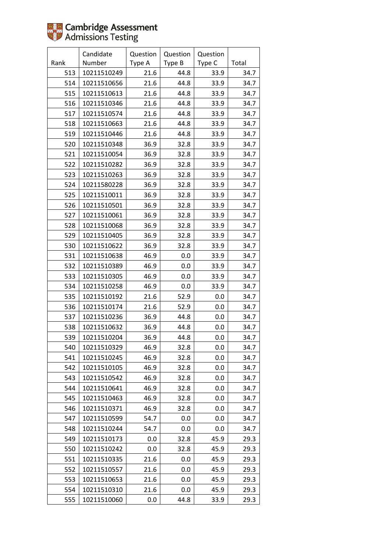|      | Candidate   | Question | Question | Question |       |
|------|-------------|----------|----------|----------|-------|
| Rank | Number      | Type A   | Type B   | Type C   | Total |
| 513  | 10211510249 | 21.6     | 44.8     | 33.9     | 34.7  |
| 514  | 10211510656 | 21.6     | 44.8     | 33.9     | 34.7  |
| 515  | 10211510613 | 21.6     | 44.8     | 33.9     | 34.7  |
| 516  | 10211510346 | 21.6     | 44.8     | 33.9     | 34.7  |
| 517  | 10211510574 | 21.6     | 44.8     | 33.9     | 34.7  |
| 518  | 10211510663 | 21.6     | 44.8     | 33.9     | 34.7  |
| 519  | 10211510446 | 21.6     | 44.8     | 33.9     | 34.7  |
| 520  | 10211510348 | 36.9     | 32.8     | 33.9     | 34.7  |
| 521  | 10211510054 | 36.9     | 32.8     | 33.9     | 34.7  |
| 522  | 10211510282 | 36.9     | 32.8     | 33.9     | 34.7  |
| 523  | 10211510263 | 36.9     | 32.8     | 33.9     | 34.7  |
| 524  | 10211580228 | 36.9     | 32.8     | 33.9     | 34.7  |
| 525  | 10211510011 | 36.9     | 32.8     | 33.9     | 34.7  |
| 526  | 10211510501 | 36.9     | 32.8     | 33.9     | 34.7  |
| 527  | 10211510061 | 36.9     | 32.8     | 33.9     | 34.7  |
| 528  | 10211510068 | 36.9     | 32.8     | 33.9     | 34.7  |
| 529  | 10211510405 | 36.9     | 32.8     | 33.9     | 34.7  |
| 530  | 10211510622 | 36.9     | 32.8     | 33.9     | 34.7  |
| 531  | 10211510638 | 46.9     | 0.0      | 33.9     | 34.7  |
| 532  | 10211510389 | 46.9     | 0.0      | 33.9     | 34.7  |
| 533  | 10211510305 | 46.9     | 0.0      | 33.9     | 34.7  |
| 534  | 10211510258 | 46.9     | 0.0      | 33.9     | 34.7  |
| 535  | 10211510192 | 21.6     | 52.9     | 0.0      | 34.7  |
| 536  | 10211510174 | 21.6     | 52.9     | 0.0      | 34.7  |
| 537  | 10211510236 | 36.9     | 44.8     | 0.0      | 34.7  |
| 538  | 10211510632 | 36.9     | 44.8     | 0.0      | 34.7  |
| 539  | 10211510204 | 36.9     | 44.8     | 0.0      | 34.7  |
| 540  | 10211510329 | 46.9     | 32.8     | 0.0      | 34.7  |
| 541  | 10211510245 | 46.9     | 32.8     | 0.0      | 34.7  |
| 542  | 10211510105 | 46.9     | 32.8     | 0.0      | 34.7  |
| 543  | 10211510542 | 46.9     | 32.8     | 0.0      | 34.7  |
| 544  | 10211510641 | 46.9     | 32.8     | 0.0      | 34.7  |
| 545  | 10211510463 | 46.9     | 32.8     | 0.0      | 34.7  |
| 546  | 10211510371 | 46.9     | 32.8     | 0.0      | 34.7  |
| 547  | 10211510599 | 54.7     | 0.0      | 0.0      | 34.7  |
| 548  | 10211510244 | 54.7     | 0.0      | 0.0      | 34.7  |
| 549  | 10211510173 | 0.0      | 32.8     | 45.9     | 29.3  |
| 550  | 10211510242 | 0.0      | 32.8     | 45.9     | 29.3  |
| 551  | 10211510335 | 21.6     | 0.0      | 45.9     | 29.3  |
| 552  | 10211510557 | 21.6     | 0.0      | 45.9     | 29.3  |
| 553  | 10211510653 | 21.6     | 0.0      | 45.9     | 29.3  |
| 554  | 10211510310 | 21.6     | 0.0      | 45.9     | 29.3  |
| 555  | 10211510060 | 0.0      | 44.8     | 33.9     | 29.3  |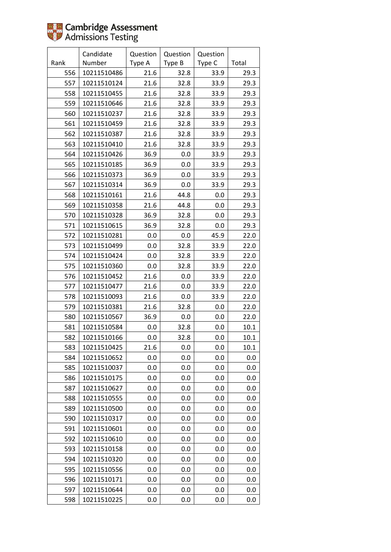|      | Candidate   | Question | Question | Question |       |
|------|-------------|----------|----------|----------|-------|
| Rank | Number      | Type A   | Type B   | Type C   | Total |
| 556  | 10211510486 | 21.6     | 32.8     | 33.9     | 29.3  |
| 557  | 10211510124 | 21.6     | 32.8     | 33.9     | 29.3  |
| 558  | 10211510455 | 21.6     | 32.8     | 33.9     | 29.3  |
| 559  | 10211510646 | 21.6     | 32.8     | 33.9     | 29.3  |
| 560  | 10211510237 | 21.6     | 32.8     | 33.9     | 29.3  |
| 561  | 10211510459 | 21.6     | 32.8     | 33.9     | 29.3  |
| 562  | 10211510387 | 21.6     | 32.8     | 33.9     | 29.3  |
| 563  | 10211510410 | 21.6     | 32.8     | 33.9     | 29.3  |
| 564  | 10211510426 | 36.9     | 0.0      | 33.9     | 29.3  |
| 565  | 10211510185 | 36.9     | 0.0      | 33.9     | 29.3  |
| 566  | 10211510373 | 36.9     | 0.0      | 33.9     | 29.3  |
| 567  | 10211510314 | 36.9     | 0.0      | 33.9     | 29.3  |
| 568  | 10211510161 | 21.6     | 44.8     | 0.0      | 29.3  |
| 569  | 10211510358 | 21.6     | 44.8     | 0.0      | 29.3  |
| 570  | 10211510328 | 36.9     | 32.8     | 0.0      | 29.3  |
| 571  | 10211510615 | 36.9     | 32.8     | 0.0      | 29.3  |
| 572  | 10211510281 | 0.0      | 0.0      | 45.9     | 22.0  |
| 573  | 10211510499 | 0.0      | 32.8     | 33.9     | 22.0  |
| 574  | 10211510424 | 0.0      | 32.8     | 33.9     | 22.0  |
| 575  | 10211510360 | 0.0      | 32.8     | 33.9     | 22.0  |
| 576  | 10211510452 | 21.6     | 0.0      | 33.9     | 22.0  |
| 577  | 10211510477 | 21.6     | 0.0      | 33.9     | 22.0  |
| 578  | 10211510093 | 21.6     | 0.0      | 33.9     | 22.0  |
| 579  | 10211510381 | 21.6     | 32.8     | 0.0      | 22.0  |
| 580  | 10211510567 | 36.9     | 0.0      | 0.0      | 22.0  |
| 581  | 10211510584 | 0.0      | 32.8     | 0.0      | 10.1  |
| 582  | 10211510166 | 0.0      | 32.8     | 0.0      | 10.1  |
| 583  | 10211510425 | 21.6     | 0.0      | 0.0      | 10.1  |
| 584  | 10211510652 | 0.0      | 0.0      | 0.0      | 0.0   |
| 585  | 10211510037 | 0.0      | 0.0      | 0.0      | 0.0   |
| 586  | 10211510175 | 0.0      | 0.0      | 0.0      | 0.0   |
| 587  | 10211510627 | $0.0\,$  | 0.0      | 0.0      | 0.0   |
| 588  | 10211510555 | 0.0      | 0.0      | 0.0      | 0.0   |
| 589  | 10211510500 | 0.0      | 0.0      | 0.0      | 0.0   |
| 590  | 10211510317 | 0.0      | 0.0      | 0.0      | 0.0   |
| 591  | 10211510601 | 0.0      | 0.0      | 0.0      | 0.0   |
| 592  | 10211510610 | 0.0      | 0.0      | 0.0      | 0.0   |
| 593  | 10211510158 | 0.0      | 0.0      | 0.0      | 0.0   |
| 594  | 10211510320 | 0.0      | 0.0      | 0.0      | 0.0   |
| 595  | 10211510556 | 0.0      | 0.0      | 0.0      | 0.0   |
| 596  | 10211510171 | 0.0      | 0.0      | 0.0      | 0.0   |
| 597  | 10211510644 | 0.0      | 0.0      | 0.0      | 0.0   |
| 598  | 10211510225 | 0.0      | 0.0      | 0.0      | 0.0   |